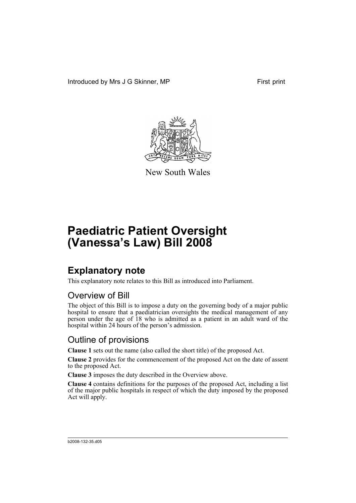Introduced by Mrs J G Skinner, MP First print



New South Wales

# **Paediatric Patient Oversight (Vanessa's Law) Bill 2008**

## **Explanatory note**

This explanatory note relates to this Bill as introduced into Parliament.

## Overview of Bill

The object of this Bill is to impose a duty on the governing body of a major public hospital to ensure that a paediatrician oversights the medical management of any person under the age of 18 who is admitted as a patient in an adult ward of the hospital within 24 hours of the person's admission.

## Outline of provisions

**Clause 1** sets out the name (also called the short title) of the proposed Act.

**Clause 2** provides for the commencement of the proposed Act on the date of assent to the proposed Act.

**Clause 3** imposes the duty described in the Overview above.

**Clause 4** contains definitions for the purposes of the proposed Act, including a list of the major public hospitals in respect of which the duty imposed by the proposed Act will apply.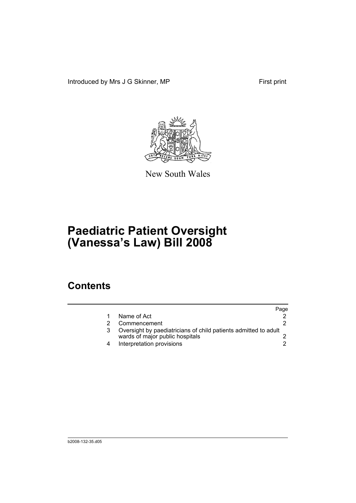Introduced by Mrs J G Skinner, MP First print



New South Wales

# **Paediatric Patient Oversight (Vanessa's Law) Bill 2008**

## **Contents**

|   |                                                                                                    | Page |
|---|----------------------------------------------------------------------------------------------------|------|
|   | Name of Act                                                                                        |      |
|   | Commencement                                                                                       |      |
|   | Oversight by paediatricians of child patients admitted to adult<br>wards of major public hospitals |      |
| 4 | Interpretation provisions                                                                          |      |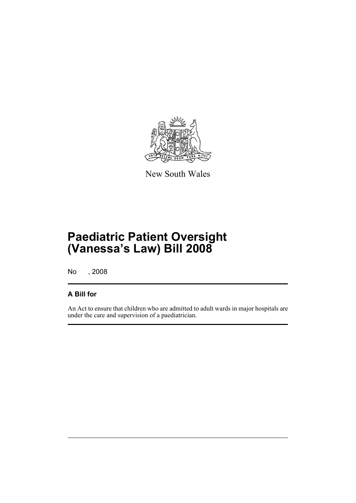

New South Wales

# **Paediatric Patient Oversight (Vanessa's Law) Bill 2008**

No , 2008

### **A Bill for**

An Act to ensure that children who are admitted to adult wards in major hospitals are under the care and supervision of a paediatrician.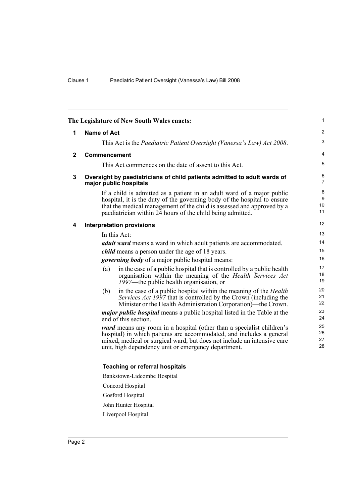<span id="page-5-3"></span><span id="page-5-2"></span><span id="page-5-1"></span><span id="page-5-0"></span>

| The Legislature of New South Wales enacts: |                                                                                                                                                                                                                                                                                            | $\mathbf{1}$                      |
|--------------------------------------------|--------------------------------------------------------------------------------------------------------------------------------------------------------------------------------------------------------------------------------------------------------------------------------------------|-----------------------------------|
| 1                                          | <b>Name of Act</b>                                                                                                                                                                                                                                                                         | 2                                 |
|                                            | This Act is the Paediatric Patient Oversight (Vanessa's Law) Act 2008.                                                                                                                                                                                                                     | 3                                 |
| $\mathbf{2}$                               | Commencement                                                                                                                                                                                                                                                                               | $\overline{4}$                    |
|                                            | This Act commences on the date of assent to this Act.                                                                                                                                                                                                                                      | 5                                 |
| 3                                          | Oversight by paediatricians of child patients admitted to adult wards of<br>major public hospitals                                                                                                                                                                                         | $\,6\,$<br>$\overline{7}$         |
|                                            | If a child is admitted as a patient in an adult ward of a major public<br>hospital, it is the duty of the governing body of the hospital to ensure<br>that the medical management of the child is assessed and approved by a<br>paediatrician within 24 hours of the child being admitted. | 8<br>$\boldsymbol{9}$<br>10<br>11 |
| 4                                          | <b>Interpretation provisions</b>                                                                                                                                                                                                                                                           | 12                                |
|                                            | In this Act:                                                                                                                                                                                                                                                                               | 13                                |
|                                            | <i>adult ward</i> means a ward in which adult patients are accommodated.                                                                                                                                                                                                                   | 14                                |
|                                            | <i>child</i> means a person under the age of 18 years.                                                                                                                                                                                                                                     | 15                                |
|                                            | <i>governing body</i> of a major public hospital means:                                                                                                                                                                                                                                    | 16                                |
|                                            | in the case of a public hospital that is controlled by a public health<br>(a)<br>organisation within the meaning of the Health Services Act<br>1997—the public health organisation, or                                                                                                     | 17<br>18<br>19                    |
|                                            | in the case of a public hospital within the meaning of the <i>Health</i><br>(b)<br>Services Act 1997 that is controlled by the Crown (including the<br>Minister or the Health Administration Corporation)—the Crown.                                                                       | 20<br>21<br>22                    |
|                                            | <i>major public hospital</i> means a public hospital listed in the Table at the<br>end of this section.                                                                                                                                                                                    | 23<br>24                          |
|                                            | ward means any room in a hospital (other than a specialist children's<br>hospital) in which patients are accommodated, and includes a general<br>mixed, medical or surgical ward, but does not include an intensive care<br>unit, high dependency unit or emergency department.            | 25<br>26<br>27<br>28              |

#### **Teaching or referral hospitals**

- Concord Hospital
- Gosford Hospital
- John Hunter Hospital

Liverpool Hospital